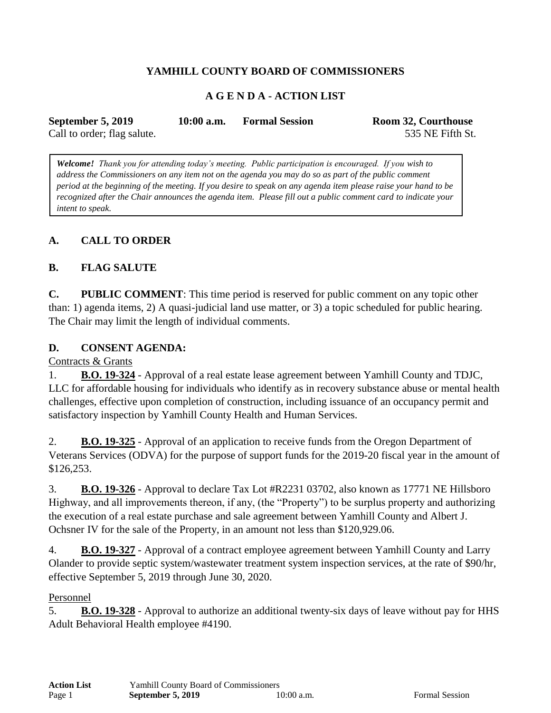# **YAMHILL COUNTY BOARD OF COMMISSIONERS**

## **A G E N D A - ACTION LIST**

| September 5, 2019           | $10:00$ a.m. | <b>Formal Session</b> | Room 32, Courthouse |
|-----------------------------|--------------|-----------------------|---------------------|
| Call to order; flag salute. |              |                       | 535 NE Fifth St.    |

*Welcome! Thank you for attending today's meeting. Public participation is encouraged. If you wish to address the Commissioners on any item not on the agenda you may do so as part of the public comment period at the beginning of the meeting. If you desire to speak on any agenda item please raise your hand to be recognized after the Chair announces the agenda item. Please fill out a public comment card to indicate your intent to speak.*

## **A. CALL TO ORDER**

### **B. FLAG SALUTE**

**C. PUBLIC COMMENT**: This time period is reserved for public comment on any topic other than: 1) agenda items, 2) A quasi-judicial land use matter, or 3) a topic scheduled for public hearing. The Chair may limit the length of individual comments.

#### **D. CONSENT AGENDA:**

#### Contracts & Grants

1. **B.O. 19-324** - Approval of a real estate lease agreement between Yamhill County and TDJC, LLC for affordable housing for individuals who identify as in recovery substance abuse or mental health challenges, effective upon completion of construction, including issuance of an occupancy permit and satisfactory inspection by Yamhill County Health and Human Services.

2. **B.O. 19-325** - Approval of an application to receive funds from the Oregon Department of Veterans Services (ODVA) for the purpose of support funds for the 2019-20 fiscal year in the amount of \$126,253.

3. **B.O. 19-326** - Approval to declare Tax Lot #R2231 03702, also known as 17771 NE Hillsboro Highway, and all improvements thereon, if any, (the "Property") to be surplus property and authorizing the execution of a real estate purchase and sale agreement between Yamhill County and Albert J. Ochsner IV for the sale of the Property, in an amount not less than \$120,929.06.

4. **B.O. 19-327** - Approval of a contract employee agreement between Yamhill County and Larry Olander to provide septic system/wastewater treatment system inspection services, at the rate of \$90/hr, effective September 5, 2019 through June 30, 2020.

#### Personnel

5. **B.O. 19-328** - Approval to authorize an additional twenty-six days of leave without pay for HHS Adult Behavioral Health employee #4190.